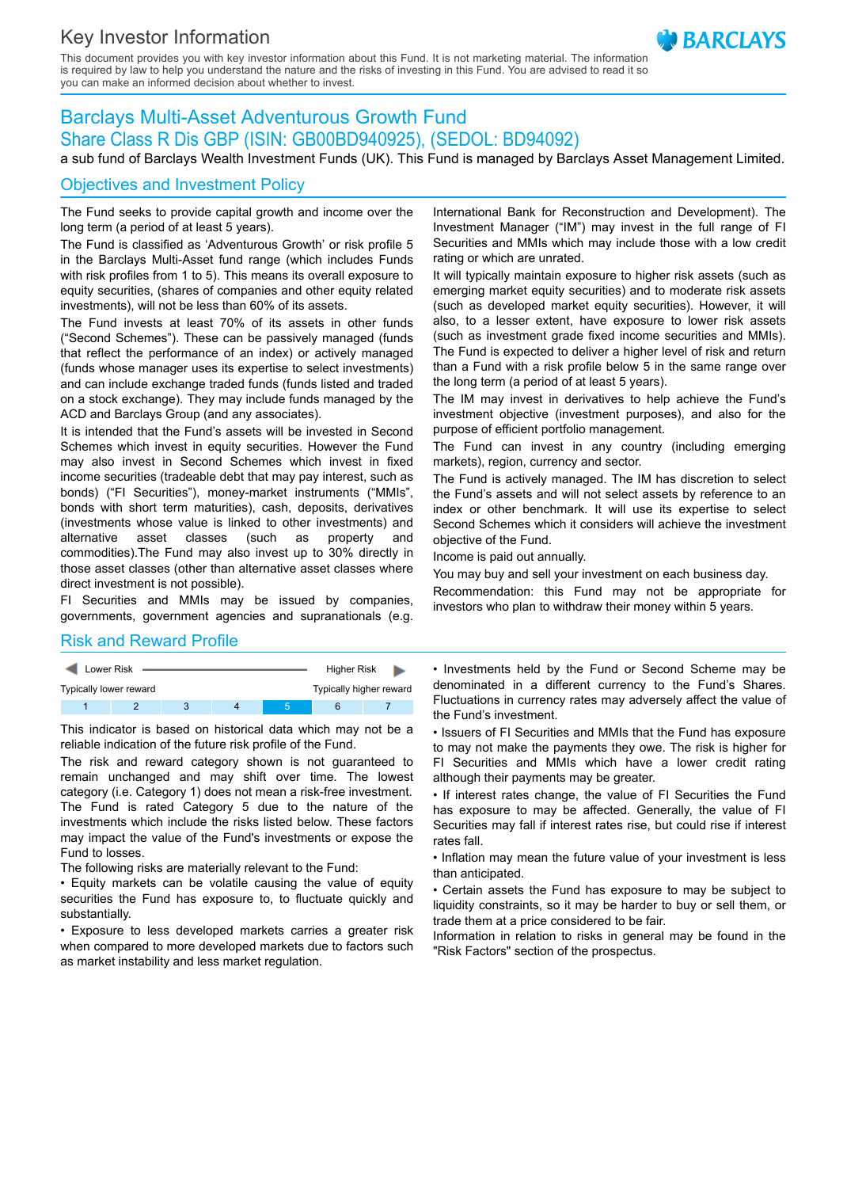# Key Investor Information

This document provides you with key investor information about this Fund. It is not marketing material. The information is required by law to help you understand the nature and the risks of investing in this Fund. You are advised to read it so you can make an informed decision about whether to invest.

## Barclays Multi-Asset Adventurous Growth Fund Share Class R Dis GBP (ISIN: GB00BD940925), (SEDOL: BD94092)

a sub fund of Barclays Wealth Investment Funds (UK). This Fund is managed by Barclays Asset Management Limited.

#### Objectives and Investment Policy

The Fund seeks to provide capital growth and income over the long term (a period of at least 5 years).

The Fund is classified as 'Adventurous Growth' or risk profile 5 in the Barclays Multi-Asset fund range (which includes Funds with risk profiles from 1 to 5). This means its overall exposure to equity securities, (shares of companies and other equity related investments), will not be less than 60% of its assets.

The Fund invests at least 70% of its assets in other funds ("Second Schemes"). These can be passively managed (funds that reflect the performance of an index) or actively managed (funds whose manager uses its expertise to select investments) and can include exchange traded funds (funds listed and traded on a stock exchange). They may include funds managed by the ACD and Barclays Group (and any associates).

It is intended that the Fund's assets will be invested in Second Schemes which invest in equity securities. However the Fund may also invest in Second Schemes which invest in fixed income securities (tradeable debt that may pay interest, such as bonds) ("FI Securities"), money-market instruments ("MMIs", bonds with short term maturities), cash, deposits, derivatives (investments whose value is linked to other investments) and alternative asset classes (such as property and commodities).The Fund may also invest up to 30% directly in those asset classes (other than alternative asset classes where direct investment is not possible).

FI Securities and MMIs may be issued by companies, governments, government agencies and supranationals (e.g.

International Bank for Reconstruction and Development). The Investment Manager ("IM") may invest in the full range of FI Securities and MMIs which may include those with a low credit rating or which are unrated.

It will typically maintain exposure to higher risk assets (such as emerging market equity securities) and to moderate risk assets (such as developed market equity securities). However, it will also, to a lesser extent, have exposure to lower risk assets (such as investment grade fixed income securities and MMIs). The Fund is expected to deliver a higher level of risk and return than a Fund with a risk profile below 5 in the same range over the long term (a period of at least 5 years).

The IM may invest in derivatives to help achieve the Fund's investment objective (investment purposes), and also for the purpose of efficient portfolio management.

The Fund can invest in any country (including emerging markets), region, currency and sector.

The Fund is actively managed. The IM has discretion to select the Fund's assets and will not select assets by reference to an index or other benchmark. It will use its expertise to select Second Schemes which it considers will achieve the investment objective of the Fund.

Income is paid out annually.

You may buy and sell your investment on each business day.

Recommendation: this Fund may not be appropriate for investors who plan to withdraw their money within 5 years.

#### Risk and Reward Profile

| <b>Lower Risk</b>      |  |  |  |  | <b>Higher Risk</b>      |  |
|------------------------|--|--|--|--|-------------------------|--|
| Typically lower reward |  |  |  |  | Typically higher reward |  |
|                        |  |  |  |  |                         |  |

This indicator is based on historical data which may not be a reliable indication of the future risk profile of the Fund.

The risk and reward category shown is not guaranteed to remain unchanged and may shift over time. The lowest category (i.e. Category 1) does not mean a risk-free investment. The Fund is rated Category 5 due to the nature of the investments which include the risks listed below. These factors may impact the value of the Fund's investments or expose the Fund to losses.

The following risks are materially relevant to the Fund:

• Equity markets can be volatile causing the value of equity securities the Fund has exposure to, to fluctuate quickly and substantially.

• Exposure to less developed markets carries a greater risk when compared to more developed markets due to factors such as market instability and less market regulation.

• Investments held by the Fund or Second Scheme may be denominated in a different currency to the Fund's Shares. Fluctuations in currency rates may adversely affect the value of the Fund's investment.

• Issuers of FI Securities and MMIs that the Fund has exposure to may not make the payments they owe. The risk is higher for FI Securities and MMIs which have a lower credit rating although their payments may be greater.

• If interest rates change, the value of FI Securities the Fund has exposure to may be affected. Generally, the value of FI Securities may fall if interest rates rise, but could rise if interest rates fall.

• Inflation may mean the future value of your investment is less than anticipated.

• Certain assets the Fund has exposure to may be subject to liquidity constraints, so it may be harder to buy or sell them, or trade them at a price considered to be fair.

Information in relation to risks in general may be found in the "Risk Factors" section of the prospectus.